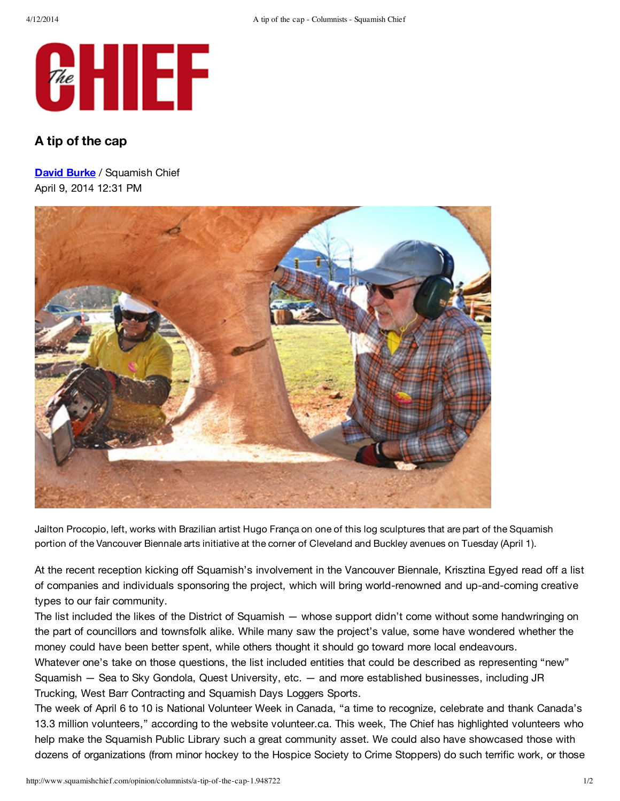

## **A tip of the cap**

**David Burke** / Squamish Chief April 9, 2014 12:31 PM



Jailton Procopio, left, works with Brazilian artist Hugo França on one of this log sculptures that are part of the Squamish portion of the Vancouver Biennale arts initiative at the corner of Cleveland and Buckley avenues on Tuesday (April 1).

At the recent reception kicking off Squamish's involvement in the Vancouver Biennale, Krisztina Egyed read off a list of companies and individuals sponsoring the project, which will bring world-renowned and up-and-coming creative types to our fair community.

The list included the likes of the District of Squamish — whose support didn't come without some handwringing on the part of councillors and townsfolk alike. While many saw the project's value, some have wondered whether the money could have been better spent, while others thought it should go toward more local endeavours.

Whatever one's take on those questions, the list included entities that could be described as representing "new" Squamish — Sea to Sky Gondola, Quest University, etc. — and more established businesses, including JR Trucking, West Barr Contracting and Squamish Days Loggers Sports.

The week of April 6 to 10 is National Volunteer Week in Canada, "a time to recognize, celebrate and thank Canada's 13.3 million volunteers," according to the website volunteer.ca. This week, The Chief has highlighted volunteers who help make the Squamish Public Library such a great community asset. We could also have showcased those with dozens of organizations (from minor hockey to the Hospice Society to Crime Stoppers) do such terrific work, or those